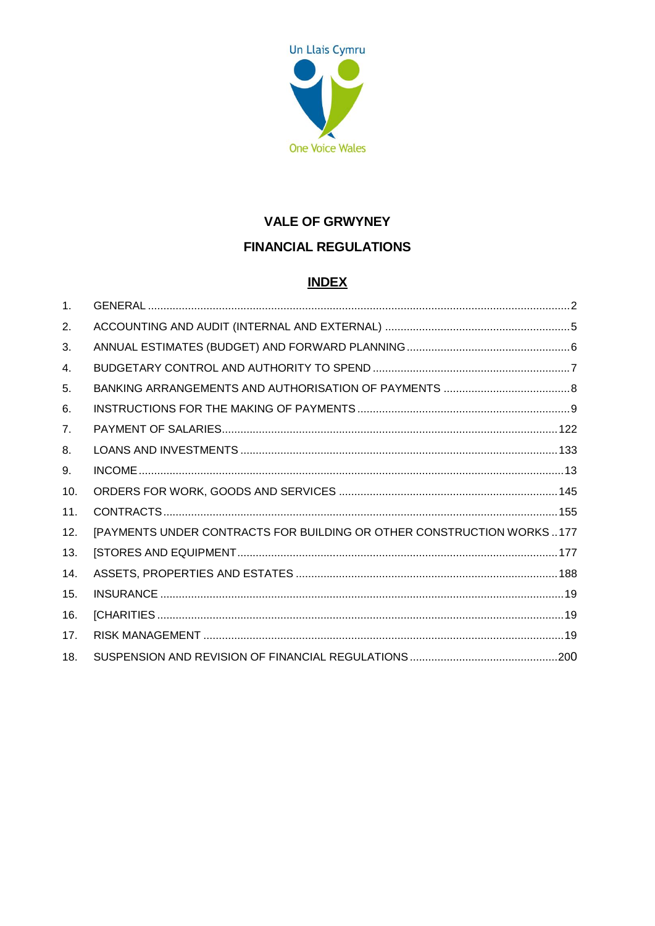

# **VALE OF GRWYNEY**

### **FINANCIAL REGULATIONS**

### **INDEX**

| $\mathbf{1}$ . |                                                                       |  |
|----------------|-----------------------------------------------------------------------|--|
| 2.             |                                                                       |  |
| 3.             |                                                                       |  |
| 4.             |                                                                       |  |
| 5.             |                                                                       |  |
| 6.             |                                                                       |  |
| 7 <sub>1</sub> |                                                                       |  |
| 8.             |                                                                       |  |
| 9.             |                                                                       |  |
| 10.            |                                                                       |  |
| 11.            |                                                                       |  |
| 12.            | [PAYMENTS UNDER CONTRACTS FOR BUILDING OR OTHER CONSTRUCTION WORKS177 |  |
| 13.            |                                                                       |  |
| 14.            |                                                                       |  |
| 15.            |                                                                       |  |
| 16.            |                                                                       |  |
| 17.            |                                                                       |  |
| 18.            |                                                                       |  |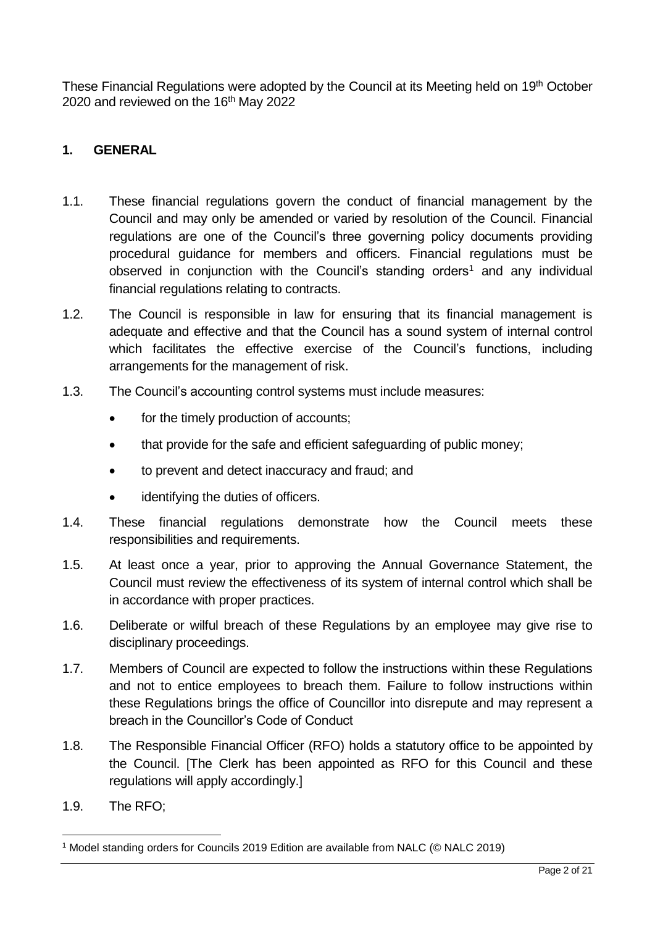These Financial Regulations were adopted by the Council at its Meeting held on 19<sup>th</sup> October 2020 and reviewed on the 16<sup>th</sup> May 2022

### <span id="page-1-0"></span>**1. GENERAL**

- 1.1. These financial regulations govern the conduct of financial management by the Council and may only be amended or varied by resolution of the Council. Financial regulations are one of the Council's three governing policy documents providing procedural guidance for members and officers. Financial regulations must be observed in conjunction with the Council's standing orders<sup>1</sup> and any individual financial regulations relating to contracts.
- 1.2. The Council is responsible in law for ensuring that its financial management is adequate and effective and that the Council has a sound system of internal control which facilitates the effective exercise of the Council's functions, including arrangements for the management of risk.
- 1.3. The Council's accounting control systems must include measures:
	- for the timely production of accounts;
	- that provide for the safe and efficient safeguarding of public money;
	- to prevent and detect inaccuracy and fraud; and
	- identifying the duties of officers.
- 1.4. These financial regulations demonstrate how the Council meets these responsibilities and requirements.
- 1.5. At least once a year, prior to approving the Annual Governance Statement, the Council must review the effectiveness of its system of internal control which shall be in accordance with proper practices.
- 1.6. Deliberate or wilful breach of these Regulations by an employee may give rise to disciplinary proceedings.
- 1.7. Members of Council are expected to follow the instructions within these Regulations and not to entice employees to breach them. Failure to follow instructions within these Regulations brings the office of Councillor into disrepute and may represent a breach in the Councillor's Code of Conduct
- 1.8. The Responsible Financial Officer (RFO) holds a statutory office to be appointed by the Council. [The Clerk has been appointed as RFO for this Council and these regulations will apply accordingly.]
- 1.9. The RFO;

<sup>1</sup> <sup>1</sup> Model standing orders for Councils 2019 Edition are available from NALC (© NALC 2019)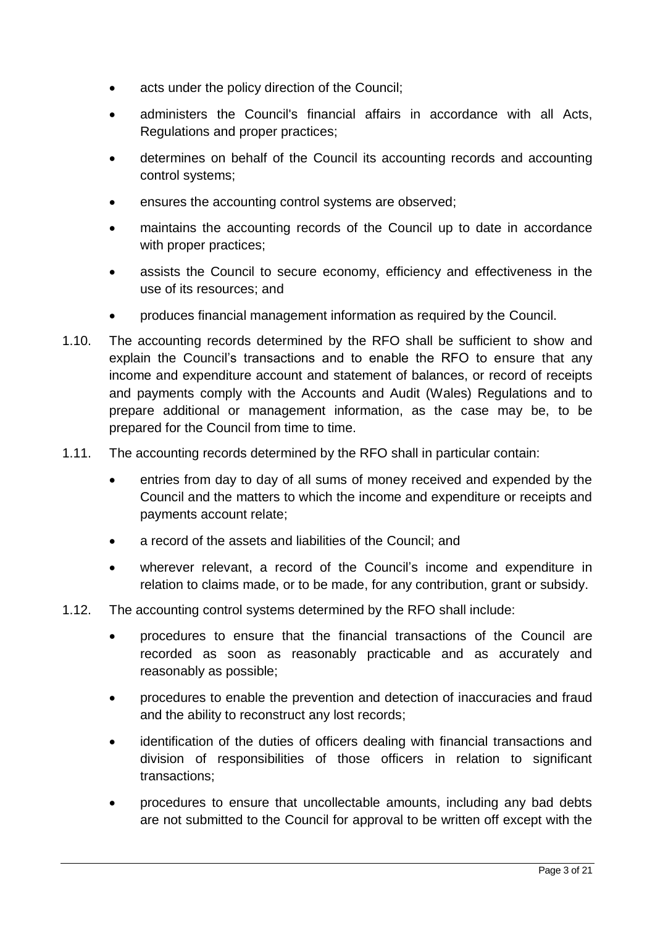- acts under the policy direction of the Council;
- administers the Council's financial affairs in accordance with all Acts, Regulations and proper practices;
- determines on behalf of the Council its accounting records and accounting control systems;
- ensures the accounting control systems are observed;
- maintains the accounting records of the Council up to date in accordance with proper practices;
- assists the Council to secure economy, efficiency and effectiveness in the use of its resources; and
- produces financial management information as required by the Council.
- 1.10. The accounting records determined by the RFO shall be sufficient to show and explain the Council's transactions and to enable the RFO to ensure that any income and expenditure account and statement of balances, or record of receipts and payments comply with the Accounts and Audit (Wales) Regulations and to prepare additional or management information, as the case may be, to be prepared for the Council from time to time.
- 1.11. The accounting records determined by the RFO shall in particular contain:
	- entries from day to day of all sums of money received and expended by the Council and the matters to which the income and expenditure or receipts and payments account relate;
	- a record of the assets and liabilities of the Council; and
	- wherever relevant, a record of the Council's income and expenditure in relation to claims made, or to be made, for any contribution, grant or subsidy.
- 1.12. The accounting control systems determined by the RFO shall include:
	- procedures to ensure that the financial transactions of the Council are recorded as soon as reasonably practicable and as accurately and reasonably as possible;
	- procedures to enable the prevention and detection of inaccuracies and fraud and the ability to reconstruct any lost records;
	- identification of the duties of officers dealing with financial transactions and division of responsibilities of those officers in relation to significant transactions;
	- procedures to ensure that uncollectable amounts, including any bad debts are not submitted to the Council for approval to be written off except with the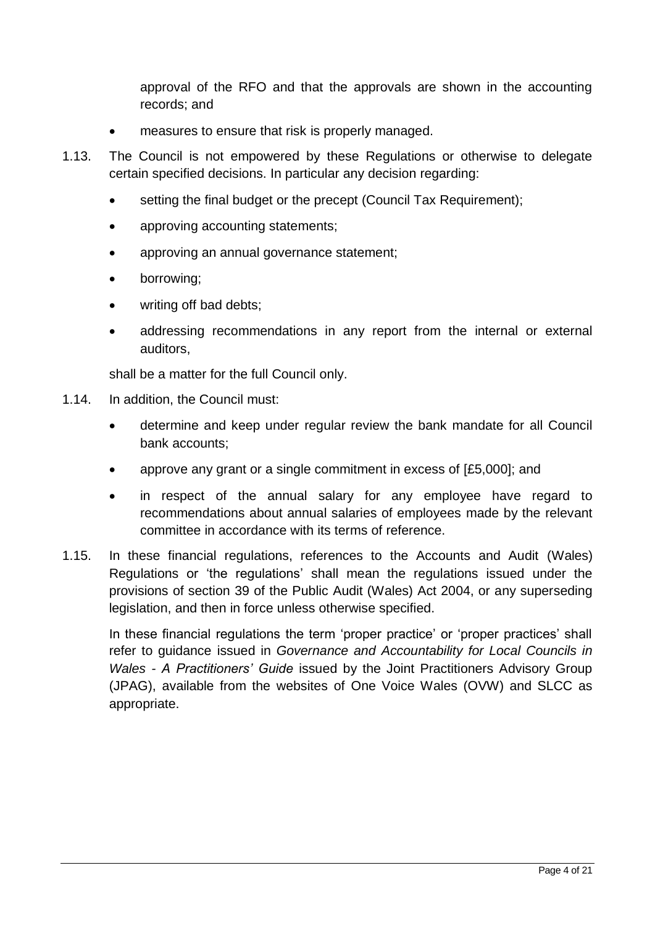approval of the RFO and that the approvals are shown in the accounting records; and

- measures to ensure that risk is properly managed.
- 1.13. The Council is not empowered by these Regulations or otherwise to delegate certain specified decisions. In particular any decision regarding:
	- setting the final budget or the precept (Council Tax Requirement);
	- approving accounting statements;
	- approving an annual governance statement;
	- borrowing;
	- writing off bad debts;
	- addressing recommendations in any report from the internal or external auditors,

shall be a matter for the full Council only.

- 1.14. In addition, the Council must:
	- determine and keep under regular review the bank mandate for all Council bank accounts;
	- approve any grant or a single commitment in excess of [£5,000]; and
	- in respect of the annual salary for any employee have regard to recommendations about annual salaries of employees made by the relevant committee in accordance with its terms of reference.
- 1.15. In these financial regulations, references to the Accounts and Audit (Wales) Regulations or 'the regulations' shall mean the regulations issued under the provisions of section 39 of the Public Audit (Wales) Act 2004, or any superseding legislation, and then in force unless otherwise specified.

<span id="page-3-0"></span>In these financial regulations the term 'proper practice' or 'proper practices' shall refer to guidance issued in *Governance and Accountability for Local Councils in Wales - A Practitioners' Guide* issued by the Joint Practitioners Advisory Group (JPAG), available from the websites of One Voice Wales (OVW) and SLCC as appropriate.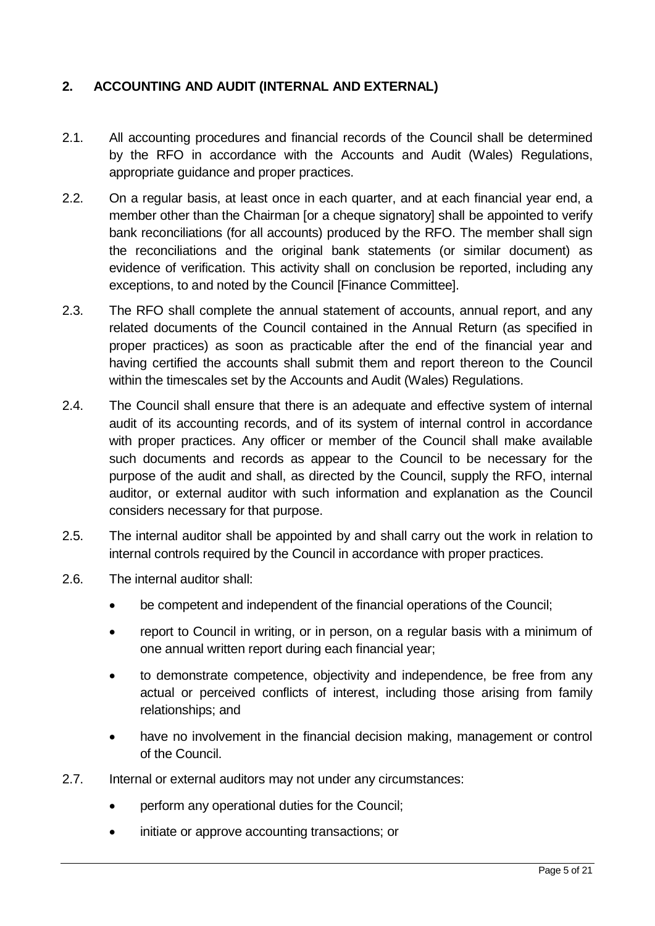## **2. ACCOUNTING AND AUDIT (INTERNAL AND EXTERNAL)**

- 2.1. All accounting procedures and financial records of the Council shall be determined by the RFO in accordance with the Accounts and Audit (Wales) Regulations, appropriate guidance and proper practices.
- 2.2. On a regular basis, at least once in each quarter, and at each financial year end, a member other than the Chairman [or a cheque signatory] shall be appointed to verify bank reconciliations (for all accounts) produced by the RFO. The member shall sign the reconciliations and the original bank statements (or similar document) as evidence of verification. This activity shall on conclusion be reported, including any exceptions, to and noted by the Council [Finance Committee].
- 2.3. The RFO shall complete the annual statement of accounts, annual report, and any related documents of the Council contained in the Annual Return (as specified in proper practices) as soon as practicable after the end of the financial year and having certified the accounts shall submit them and report thereon to the Council within the timescales set by the Accounts and Audit (Wales) Regulations.
- 2.4. The Council shall ensure that there is an adequate and effective system of internal audit of its accounting records, and of its system of internal control in accordance with proper practices. Any officer or member of the Council shall make available such documents and records as appear to the Council to be necessary for the purpose of the audit and shall, as directed by the Council, supply the RFO, internal auditor, or external auditor with such information and explanation as the Council considers necessary for that purpose.
- 2.5. The internal auditor shall be appointed by and shall carry out the work in relation to internal controls required by the Council in accordance with proper practices.
- 2.6. The internal auditor shall:
	- be competent and independent of the financial operations of the Council;
	- report to Council in writing, or in person, on a regular basis with a minimum of one annual written report during each financial year;
	- to demonstrate competence, objectivity and independence, be free from any actual or perceived conflicts of interest, including those arising from family relationships; and
	- have no involvement in the financial decision making, management or control of the Council.
- 2.7. Internal or external auditors may not under any circumstances:
	- perform any operational duties for the Council;
	- initiate or approve accounting transactions; or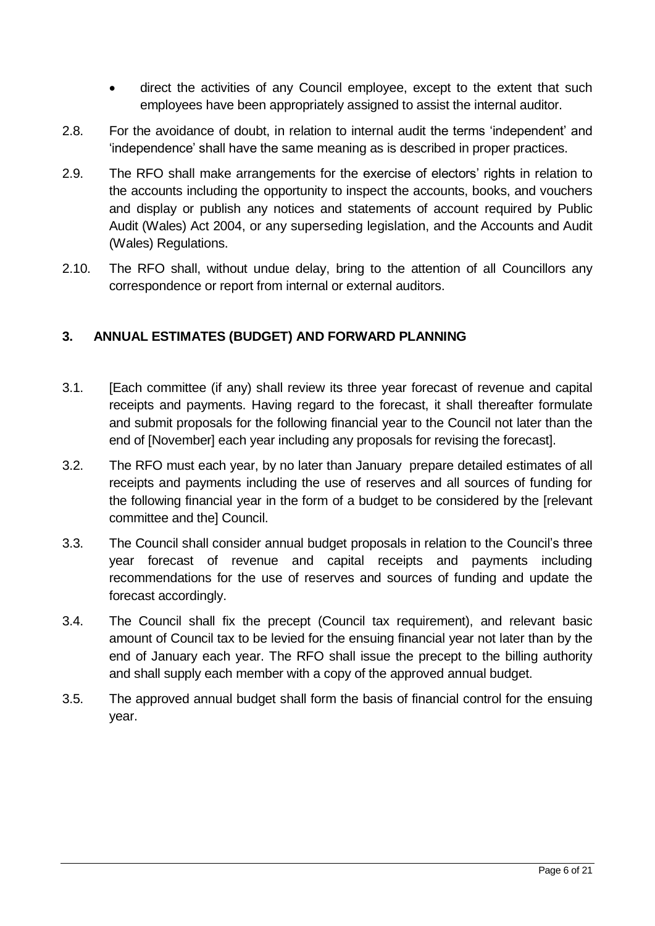- direct the activities of any Council employee, except to the extent that such employees have been appropriately assigned to assist the internal auditor.
- 2.8. For the avoidance of doubt, in relation to internal audit the terms 'independent' and 'independence' shall have the same meaning as is described in proper practices.
- 2.9. The RFO shall make arrangements for the exercise of electors' rights in relation to the accounts including the opportunity to inspect the accounts, books, and vouchers and display or publish any notices and statements of account required by Public Audit (Wales) Act 2004, or any superseding legislation, and the Accounts and Audit (Wales) Regulations.
- 2.10. The RFO shall, without undue delay, bring to the attention of all Councillors any correspondence or report from internal or external auditors.

### <span id="page-5-0"></span>**3. ANNUAL ESTIMATES (BUDGET) AND FORWARD PLANNING**

- 3.1. [Each committee (if any) shall review its three year forecast of revenue and capital receipts and payments. Having regard to the forecast, it shall thereafter formulate and submit proposals for the following financial year to the Council not later than the end of [November] each year including any proposals for revising the forecast].
- 3.2. The RFO must each year, by no later than January prepare detailed estimates of all receipts and payments including the use of reserves and all sources of funding for the following financial year in the form of a budget to be considered by the [relevant committee and the] Council.
- 3.3. The Council shall consider annual budget proposals in relation to the Council's three year forecast of revenue and capital receipts and payments including recommendations for the use of reserves and sources of funding and update the forecast accordingly.
- 3.4. The Council shall fix the precept (Council tax requirement), and relevant basic amount of Council tax to be levied for the ensuing financial year not later than by the end of January each year. The RFO shall issue the precept to the billing authority and shall supply each member with a copy of the approved annual budget.
- <span id="page-5-1"></span>3.5. The approved annual budget shall form the basis of financial control for the ensuing year.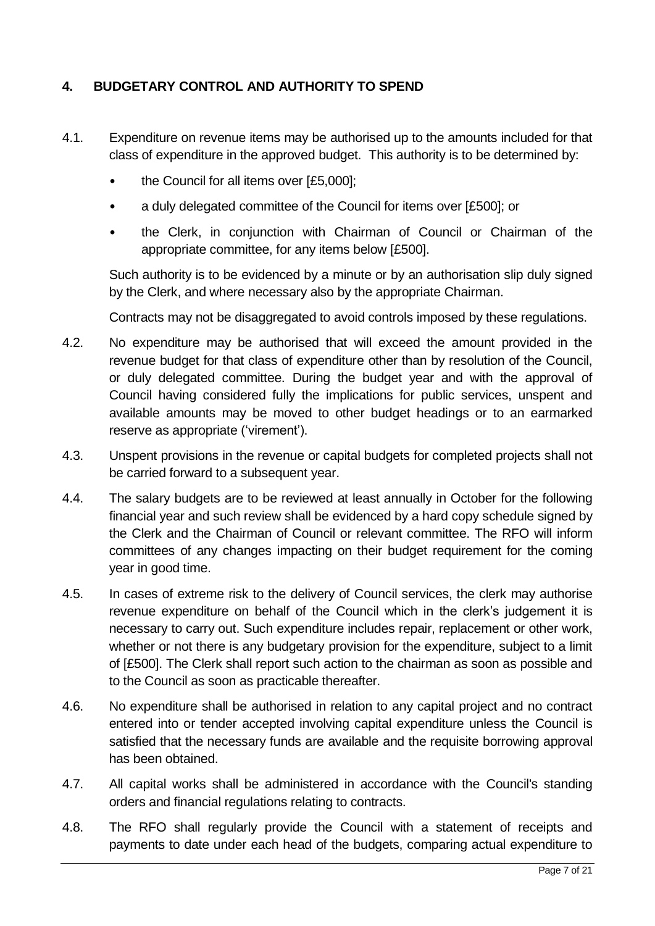# **4. BUDGETARY CONTROL AND AUTHORITY TO SPEND**

- 4.1. Expenditure on revenue items may be authorised up to the amounts included for that class of expenditure in the approved budget. This authority is to be determined by:
	- the Council for all items over [£5,000];
	- a duly delegated committee of the Council for items over [£500]; or
	- the Clerk, in conjunction with Chairman of Council or Chairman of the appropriate committee, for any items below [£500].

Such authority is to be evidenced by a minute or by an authorisation slip duly signed by the Clerk, and where necessary also by the appropriate Chairman.

Contracts may not be disaggregated to avoid controls imposed by these regulations.

- 4.2. No expenditure may be authorised that will exceed the amount provided in the revenue budget for that class of expenditure other than by resolution of the Council, or duly delegated committee. During the budget year and with the approval of Council having considered fully the implications for public services, unspent and available amounts may be moved to other budget headings or to an earmarked reserve as appropriate ('virement').
- 4.3. Unspent provisions in the revenue or capital budgets for completed projects shall not be carried forward to a subsequent year.
- 4.4. The salary budgets are to be reviewed at least annually in October for the following financial year and such review shall be evidenced by a hard copy schedule signed by the Clerk and the Chairman of Council or relevant committee. The RFO will inform committees of any changes impacting on their budget requirement for the coming year in good time.
- 4.5. In cases of extreme risk to the delivery of Council services, the clerk may authorise revenue expenditure on behalf of the Council which in the clerk's judgement it is necessary to carry out. Such expenditure includes repair, replacement or other work, whether or not there is any budgetary provision for the expenditure, subject to a limit of [£500]. The Clerk shall report such action to the chairman as soon as possible and to the Council as soon as practicable thereafter.
- 4.6. No expenditure shall be authorised in relation to any capital project and no contract entered into or tender accepted involving capital expenditure unless the Council is satisfied that the necessary funds are available and the requisite borrowing approval has been obtained.
- 4.7. All capital works shall be administered in accordance with the Council's standing orders and financial regulations relating to contracts.
- 4.8. The RFO shall regularly provide the Council with a statement of receipts and payments to date under each head of the budgets, comparing actual expenditure to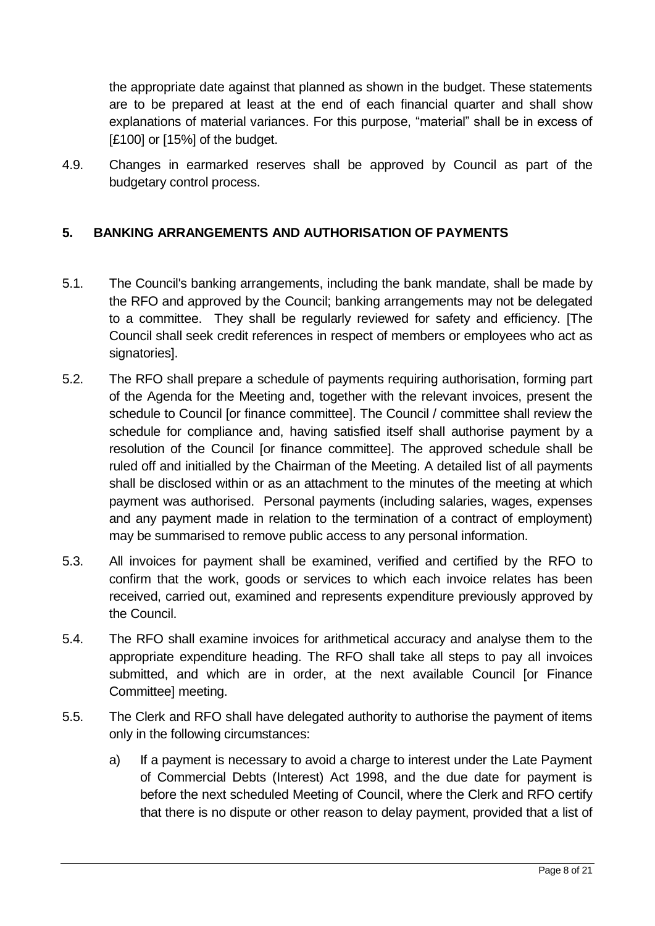the appropriate date against that planned as shown in the budget. These statements are to be prepared at least at the end of each financial quarter and shall show explanations of material variances. For this purpose, "material" shall be in excess of [£100] or [15%] of the budget.

4.9. Changes in earmarked reserves shall be approved by Council as part of the budgetary control process.

# <span id="page-7-0"></span>**5. BANKING ARRANGEMENTS AND AUTHORISATION OF PAYMENTS**

- 5.1. The Council's banking arrangements, including the bank mandate, shall be made by the RFO and approved by the Council; banking arrangements may not be delegated to a committee. They shall be regularly reviewed for safety and efficiency. [The Council shall seek credit references in respect of members or employees who act as signatories].
- 5.2. The RFO shall prepare a schedule of payments requiring authorisation, forming part of the Agenda for the Meeting and, together with the relevant invoices, present the schedule to Council [or finance committee]. The Council / committee shall review the schedule for compliance and, having satisfied itself shall authorise payment by a resolution of the Council [or finance committee]. The approved schedule shall be ruled off and initialled by the Chairman of the Meeting. A detailed list of all payments shall be disclosed within or as an attachment to the minutes of the meeting at which payment was authorised. Personal payments (including salaries, wages, expenses and any payment made in relation to the termination of a contract of employment) may be summarised to remove public access to any personal information.
- 5.3. All invoices for payment shall be examined, verified and certified by the RFO to confirm that the work, goods or services to which each invoice relates has been received, carried out, examined and represents expenditure previously approved by the Council.
- 5.4. The RFO shall examine invoices for arithmetical accuracy and analyse them to the appropriate expenditure heading. The RFO shall take all steps to pay all invoices submitted, and which are in order, at the next available Council [or Finance Committee] meeting.
- 5.5. The Clerk and RFO shall have delegated authority to authorise the payment of items only in the following circumstances:
	- a) If a payment is necessary to avoid a charge to interest under the Late Payment of Commercial Debts (Interest) Act 1998, and the due date for payment is before the next scheduled Meeting of Council, where the Clerk and RFO certify that there is no dispute or other reason to delay payment, provided that a list of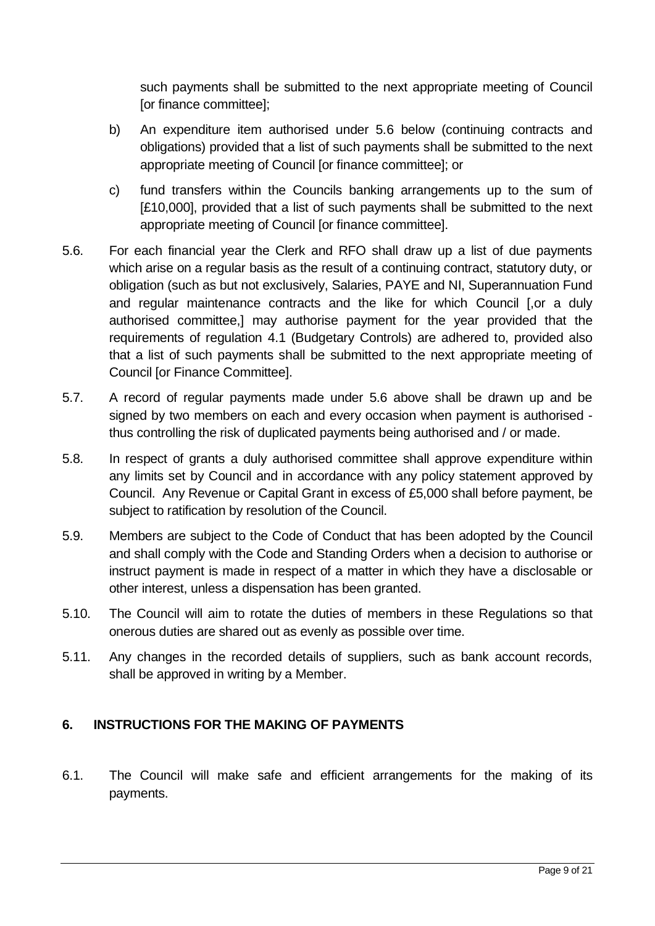such payments shall be submitted to the next appropriate meeting of Council [or finance committee];

- b) An expenditure item authorised under 5.6 below (continuing contracts and obligations) provided that a list of such payments shall be submitted to the next appropriate meeting of Council [or finance committee]; or
- c) fund transfers within the Councils banking arrangements up to the sum of [£10,000], provided that a list of such payments shall be submitted to the next appropriate meeting of Council [or finance committee].
- 5.6. For each financial year the Clerk and RFO shall draw up a list of due payments which arise on a regular basis as the result of a continuing contract, statutory duty, or obligation (such as but not exclusively, Salaries, PAYE and NI, Superannuation Fund and regular maintenance contracts and the like for which Council [,or a duly authorised committee,] may authorise payment for the year provided that the requirements of regulation 4.1 (Budgetary Controls) are adhered to, provided also that a list of such payments shall be submitted to the next appropriate meeting of Council [or Finance Committee].
- 5.7. A record of regular payments made under 5.6 above shall be drawn up and be signed by two members on each and every occasion when payment is authorised thus controlling the risk of duplicated payments being authorised and / or made.
- 5.8. In respect of grants a duly authorised committee shall approve expenditure within any limits set by Council and in accordance with any policy statement approved by Council. Any Revenue or Capital Grant in excess of £5,000 shall before payment, be subject to ratification by resolution of the Council.
- 5.9. Members are subject to the Code of Conduct that has been adopted by the Council and shall comply with the Code and Standing Orders when a decision to authorise or instruct payment is made in respect of a matter in which they have a disclosable or other interest, unless a dispensation has been granted.
- 5.10. The Council will aim to rotate the duties of members in these Regulations so that onerous duties are shared out as evenly as possible over time.
- 5.11. Any changes in the recorded details of suppliers, such as bank account records, shall be approved in writing by a Member.

# <span id="page-8-0"></span>**6. INSTRUCTIONS FOR THE MAKING OF PAYMENTS**

6.1. The Council will make safe and efficient arrangements for the making of its payments.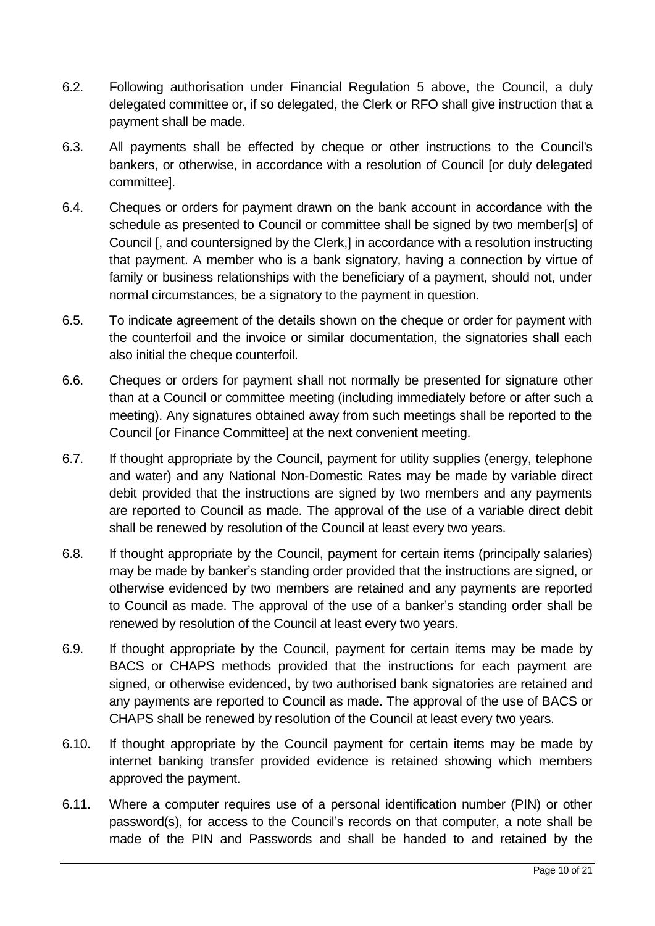- 6.2. Following authorisation under Financial Regulation 5 above, the Council, a duly delegated committee or, if so delegated, the Clerk or RFO shall give instruction that a payment shall be made.
- 6.3. All payments shall be effected by cheque or other instructions to the Council's bankers, or otherwise, in accordance with a resolution of Council [or duly delegated committee].
- 6.4. Cheques or orders for payment drawn on the bank account in accordance with the schedule as presented to Council or committee shall be signed by two member[s] of Council [, and countersigned by the Clerk,] in accordance with a resolution instructing that payment. A member who is a bank signatory, having a connection by virtue of family or business relationships with the beneficiary of a payment, should not, under normal circumstances, be a signatory to the payment in question.
- 6.5. To indicate agreement of the details shown on the cheque or order for payment with the counterfoil and the invoice or similar documentation, the signatories shall each also initial the cheque counterfoil.
- 6.6. Cheques or orders for payment shall not normally be presented for signature other than at a Council or committee meeting (including immediately before or after such a meeting). Any signatures obtained away from such meetings shall be reported to the Council [or Finance Committee] at the next convenient meeting.
- 6.7. If thought appropriate by the Council, payment for utility supplies (energy, telephone and water) and any National Non-Domestic Rates may be made by variable direct debit provided that the instructions are signed by two members and any payments are reported to Council as made. The approval of the use of a variable direct debit shall be renewed by resolution of the Council at least every two years.
- 6.8. If thought appropriate by the Council, payment for certain items (principally salaries) may be made by banker's standing order provided that the instructions are signed, or otherwise evidenced by two members are retained and any payments are reported to Council as made. The approval of the use of a banker's standing order shall be renewed by resolution of the Council at least every two years.
- 6.9. If thought appropriate by the Council, payment for certain items may be made by BACS or CHAPS methods provided that the instructions for each payment are signed, or otherwise evidenced, by two authorised bank signatories are retained and any payments are reported to Council as made. The approval of the use of BACS or CHAPS shall be renewed by resolution of the Council at least every two years.
- 6.10. If thought appropriate by the Council payment for certain items may be made by internet banking transfer provided evidence is retained showing which members approved the payment.
- 6.11. Where a computer requires use of a personal identification number (PIN) or other password(s), for access to the Council's records on that computer, a note shall be made of the PIN and Passwords and shall be handed to and retained by the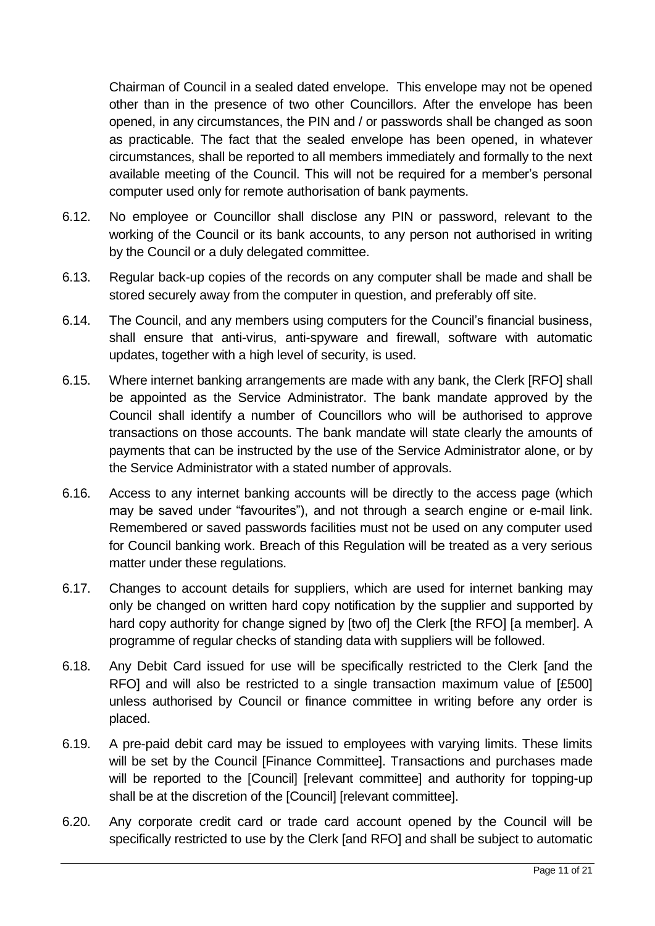Chairman of Council in a sealed dated envelope. This envelope may not be opened other than in the presence of two other Councillors. After the envelope has been opened, in any circumstances, the PIN and / or passwords shall be changed as soon as practicable. The fact that the sealed envelope has been opened, in whatever circumstances, shall be reported to all members immediately and formally to the next available meeting of the Council. This will not be required for a member's personal computer used only for remote authorisation of bank payments.

- 6.12. No employee or Councillor shall disclose any PIN or password, relevant to the working of the Council or its bank accounts, to any person not authorised in writing by the Council or a duly delegated committee.
- 6.13. Regular back-up copies of the records on any computer shall be made and shall be stored securely away from the computer in question, and preferably off site.
- 6.14. The Council, and any members using computers for the Council's financial business, shall ensure that anti-virus, anti-spyware and firewall, software with automatic updates, together with a high level of security, is used.
- 6.15. Where internet banking arrangements are made with any bank, the Clerk [RFO] shall be appointed as the Service Administrator. The bank mandate approved by the Council shall identify a number of Councillors who will be authorised to approve transactions on those accounts. The bank mandate will state clearly the amounts of payments that can be instructed by the use of the Service Administrator alone, or by the Service Administrator with a stated number of approvals.
- 6.16. Access to any internet banking accounts will be directly to the access page (which may be saved under "favourites"), and not through a search engine or e-mail link. Remembered or saved passwords facilities must not be used on any computer used for Council banking work. Breach of this Regulation will be treated as a very serious matter under these regulations.
- 6.17. Changes to account details for suppliers, which are used for internet banking may only be changed on written hard copy notification by the supplier and supported by hard copy authority for change signed by [two of] the Clerk [the RFO] [a member]. A programme of regular checks of standing data with suppliers will be followed.
- 6.18. Any Debit Card issued for use will be specifically restricted to the Clerk [and the RFO] and will also be restricted to a single transaction maximum value of [£500] unless authorised by Council or finance committee in writing before any order is placed.
- 6.19. A pre-paid debit card may be issued to employees with varying limits. These limits will be set by the Council [Finance Committee]. Transactions and purchases made will be reported to the [Council] [relevant committee] and authority for topping-up shall be at the discretion of the [Council] [relevant committee].
- 6.20. Any corporate credit card or trade card account opened by the Council will be specifically restricted to use by the Clerk [and RFO] and shall be subject to automatic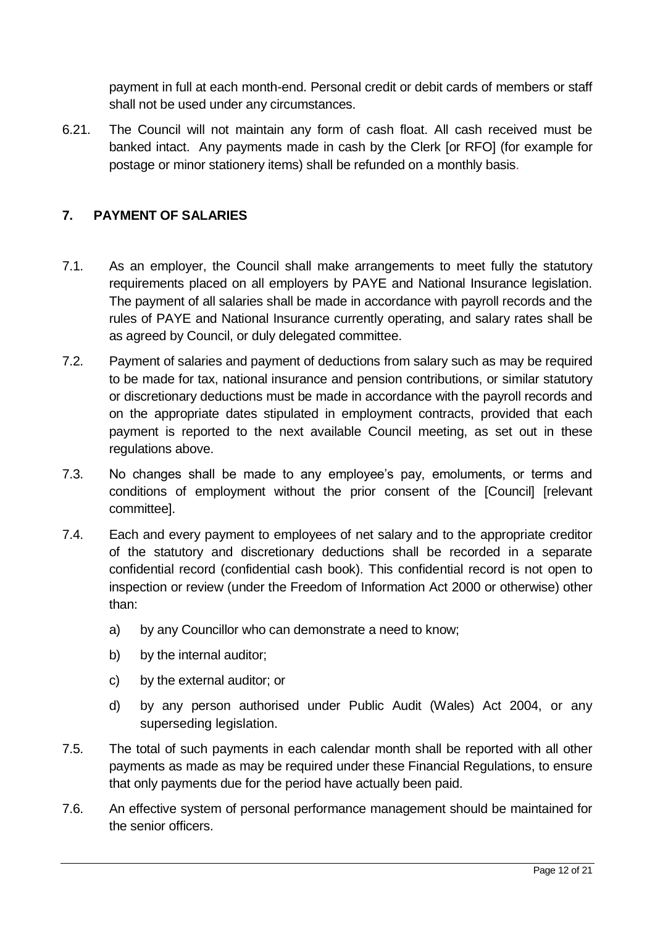payment in full at each month-end. Personal credit or debit cards of members or staff shall not be used under any circumstances.

6.21. The Council will not maintain any form of cash float. All cash received must be banked intact. Any payments made in cash by the Clerk [or RFO] (for example for postage or minor stationery items) shall be refunded on a monthly basis.

# <span id="page-11-0"></span>**7. PAYMENT OF SALARIES**

- 7.1. As an employer, the Council shall make arrangements to meet fully the statutory requirements placed on all employers by PAYE and National Insurance legislation. The payment of all salaries shall be made in accordance with payroll records and the rules of PAYE and National Insurance currently operating, and salary rates shall be as agreed by Council, or duly delegated committee.
- 7.2. Payment of salaries and payment of deductions from salary such as may be required to be made for tax, national insurance and pension contributions, or similar statutory or discretionary deductions must be made in accordance with the payroll records and on the appropriate dates stipulated in employment contracts, provided that each payment is reported to the next available Council meeting, as set out in these regulations above.
- 7.3. No changes shall be made to any employee's pay, emoluments, or terms and conditions of employment without the prior consent of the [Council] [relevant committee].
- 7.4. Each and every payment to employees of net salary and to the appropriate creditor of the statutory and discretionary deductions shall be recorded in a separate confidential record (confidential cash book). This confidential record is not open to inspection or review (under the Freedom of Information Act 2000 or otherwise) other than:
	- a) by any Councillor who can demonstrate a need to know;
	- b) by the internal auditor;
	- c) by the external auditor; or
	- d) by any person authorised under Public Audit (Wales) Act 2004, or any superseding legislation.
- 7.5. The total of such payments in each calendar month shall be reported with all other payments as made as may be required under these Financial Regulations, to ensure that only payments due for the period have actually been paid.
- 7.6. An effective system of personal performance management should be maintained for the senior officers.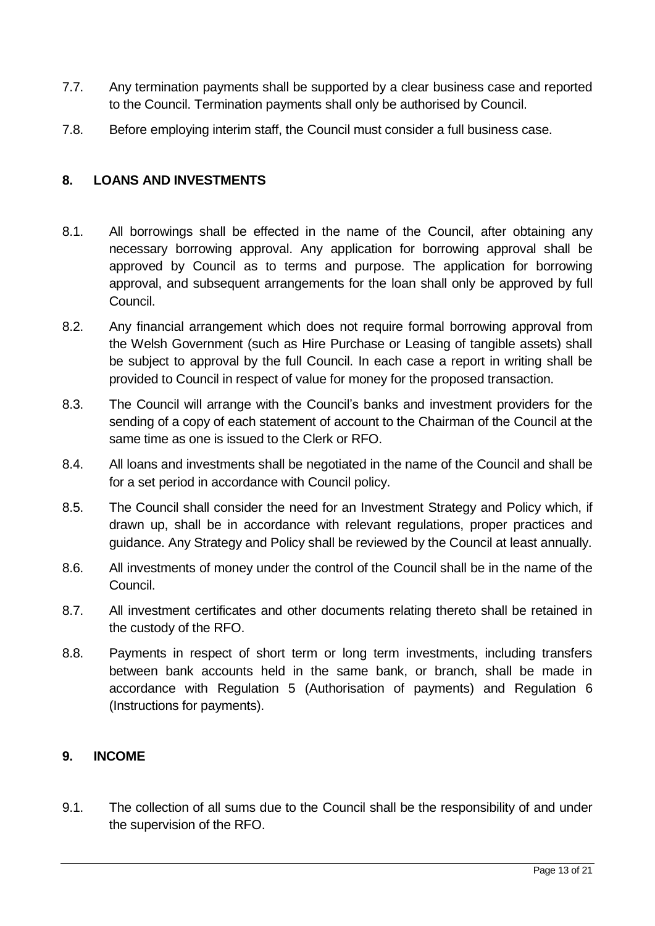- 7.7. Any termination payments shall be supported by a clear business case and reported to the Council. Termination payments shall only be authorised by Council.
- 7.8. Before employing interim staff, the Council must consider a full business case.

#### <span id="page-12-0"></span>**8. LOANS AND INVESTMENTS**

- 8.1. All borrowings shall be effected in the name of the Council, after obtaining any necessary borrowing approval. Any application for borrowing approval shall be approved by Council as to terms and purpose. The application for borrowing approval, and subsequent arrangements for the loan shall only be approved by full Council.
- 8.2. Any financial arrangement which does not require formal borrowing approval from the Welsh Government (such as Hire Purchase or Leasing of tangible assets) shall be subject to approval by the full Council. In each case a report in writing shall be provided to Council in respect of value for money for the proposed transaction.
- 8.3. The Council will arrange with the Council's banks and investment providers for the sending of a copy of each statement of account to the Chairman of the Council at the same time as one is issued to the Clerk or RFO.
- 8.4. All loans and investments shall be negotiated in the name of the Council and shall be for a set period in accordance with Council policy.
- 8.5. The Council shall consider the need for an Investment Strategy and Policy which, if drawn up, shall be in accordance with relevant regulations, proper practices and guidance. Any Strategy and Policy shall be reviewed by the Council at least annually.
- 8.6. All investments of money under the control of the Council shall be in the name of the Council.
- 8.7. All investment certificates and other documents relating thereto shall be retained in the custody of the RFO.
- 8.8. Payments in respect of short term or long term investments, including transfers between bank accounts held in the same bank, or branch, shall be made in accordance with Regulation 5 (Authorisation of payments) and Regulation 6 (Instructions for payments).

#### <span id="page-12-1"></span>**9. INCOME**

9.1. The collection of all sums due to the Council shall be the responsibility of and under the supervision of the RFO.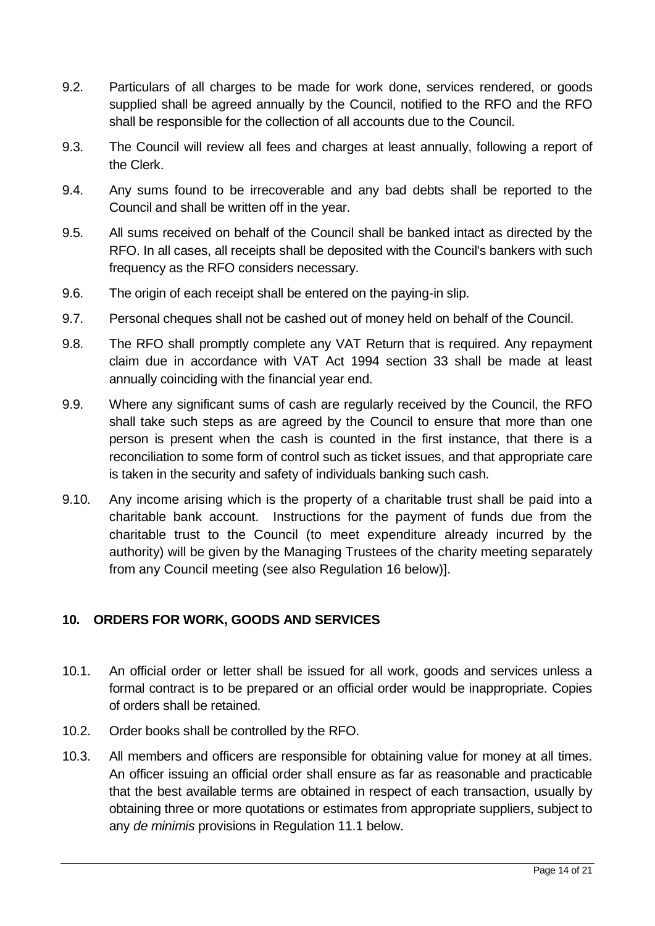- 9.2. Particulars of all charges to be made for work done, services rendered, or goods supplied shall be agreed annually by the Council, notified to the RFO and the RFO shall be responsible for the collection of all accounts due to the Council.
- 9.3. The Council will review all fees and charges at least annually, following a report of the Clerk.
- 9.4. Any sums found to be irrecoverable and any bad debts shall be reported to the Council and shall be written off in the year.
- 9.5. All sums received on behalf of the Council shall be banked intact as directed by the RFO. In all cases, all receipts shall be deposited with the Council's bankers with such frequency as the RFO considers necessary.
- 9.6. The origin of each receipt shall be entered on the paying-in slip.
- 9.7. Personal cheques shall not be cashed out of money held on behalf of the Council.
- 9.8. The RFO shall promptly complete any VAT Return that is required. Any repayment claim due in accordance with VAT Act 1994 section 33 shall be made at least annually coinciding with the financial year end.
- 9.9. Where any significant sums of cash are regularly received by the Council, the RFO shall take such steps as are agreed by the Council to ensure that more than one person is present when the cash is counted in the first instance, that there is a reconciliation to some form of control such as ticket issues, and that appropriate care is taken in the security and safety of individuals banking such cash.
- 9.10. Any income arising which is the property of a charitable trust shall be paid into a charitable bank account. Instructions for the payment of funds due from the charitable trust to the Council (to meet expenditure already incurred by the authority) will be given by the Managing Trustees of the charity meeting separately from any Council meeting (see also Regulation 16 below)].

# <span id="page-13-0"></span>**10. ORDERS FOR WORK, GOODS AND SERVICES**

- 10.1. An official order or letter shall be issued for all work, goods and services unless a formal contract is to be prepared or an official order would be inappropriate. Copies of orders shall be retained.
- 10.2. Order books shall be controlled by the RFO.
- 10.3. All members and officers are responsible for obtaining value for money at all times. An officer issuing an official order shall ensure as far as reasonable and practicable that the best available terms are obtained in respect of each transaction, usually by obtaining three or more quotations or estimates from appropriate suppliers, subject to any *de minimis* provisions in Regulation 11.1 below.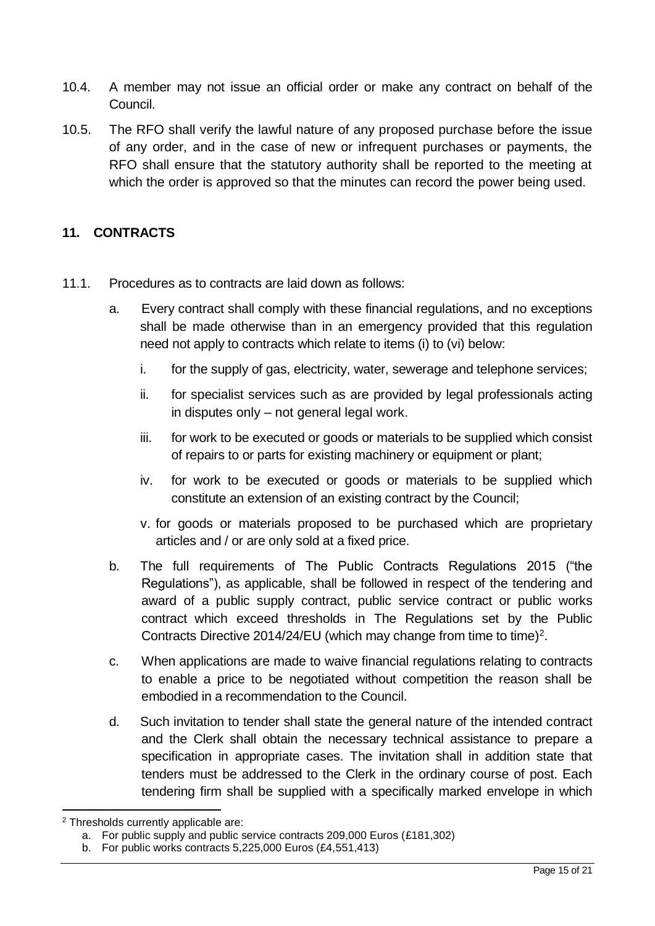- 10.4. A member may not issue an official order or make any contract on behalf of the Council.
- 10.5. The RFO shall verify the lawful nature of any proposed purchase before the issue of any order, and in the case of new or infrequent purchases or payments, the RFO shall ensure that the statutory authority shall be reported to the meeting at which the order is approved so that the minutes can record the power being used.

### <span id="page-14-0"></span>**11. CONTRACTS**

- 11.1. Procedures as to contracts are laid down as follows:
	- a. Every contract shall comply with these financial regulations, and no exceptions shall be made otherwise than in an emergency provided that this regulation need not apply to contracts which relate to items (i) to (vi) below:
		- i. for the supply of gas, electricity, water, sewerage and telephone services;
		- ii. for specialist services such as are provided by legal professionals acting in disputes only – not general legal work.
		- iii. for work to be executed or goods or materials to be supplied which consist of repairs to or parts for existing machinery or equipment or plant;
		- iv. for work to be executed or goods or materials to be supplied which constitute an extension of an existing contract by the Council;
		- v. for goods or materials proposed to be purchased which are proprietary articles and / or are only sold at a fixed price.
	- b. The full requirements of The Public Contracts Regulations 2015 ("the Regulations"), as applicable, shall be followed in respect of the tendering and award of a public supply contract, public service contract or public works contract which exceed thresholds in The Regulations set by the Public Contracts Directive 2014/24/EU (which may change from time to time)<sup>2</sup>.
	- c. When applications are made to waive financial regulations relating to contracts to enable a price to be negotiated without competition the reason shall be embodied in a recommendation to the Council.
	- d. Such invitation to tender shall state the general nature of the intended contract and the Clerk shall obtain the necessary technical assistance to prepare a specification in appropriate cases. The invitation shall in addition state that tenders must be addressed to the Clerk in the ordinary course of post. Each tendering firm shall be supplied with a specifically marked envelope in which

<sup>1</sup> <sup>2</sup> Thresholds currently applicable are:

a. For public supply and public service contracts 209,000 Euros (£181,302)

b. For public works contracts 5,225,000 Euros (£4,551,413)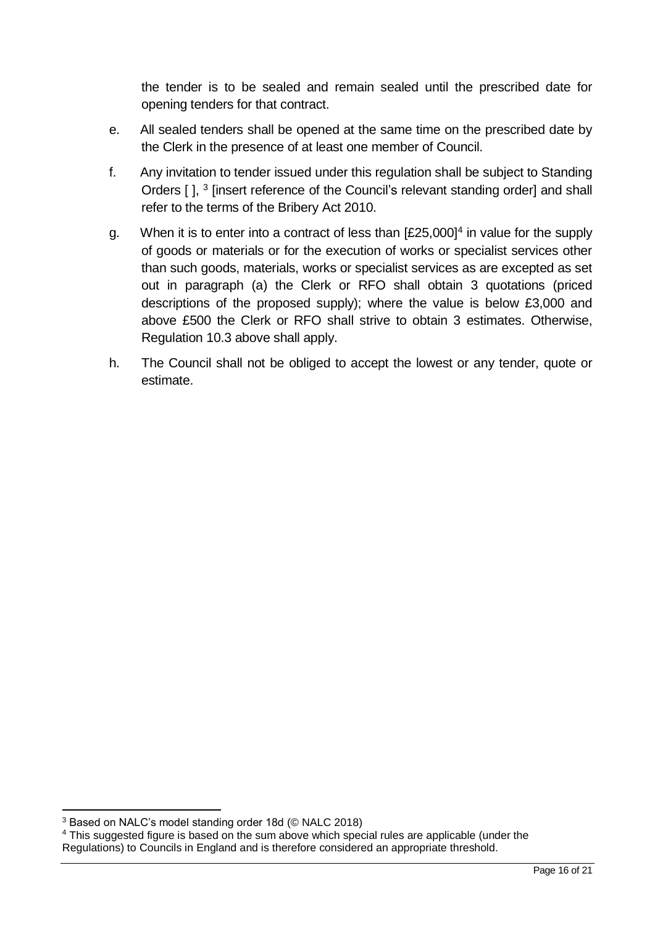the tender is to be sealed and remain sealed until the prescribed date for opening tenders for that contract.

- e. All sealed tenders shall be opened at the same time on the prescribed date by the Clerk in the presence of at least one member of Council.
- f. Any invitation to tender issued under this regulation shall be subject to Standing Orders [], <sup>3</sup> [insert reference of the Council's relevant standing order] and shall refer to the terms of the Bribery Act 2010.
- g. When it is to enter into a contract of less than  $[£25,000]<sup>4</sup>$  in value for the supply of goods or materials or for the execution of works or specialist services other than such goods, materials, works or specialist services as are excepted as set out in paragraph (a) the Clerk or RFO shall obtain 3 quotations (priced descriptions of the proposed supply); where the value is below £3,000 and above £500 the Clerk or RFO shall strive to obtain 3 estimates. Otherwise, Regulation 10.3 above shall apply.
- h. The Council shall not be obliged to accept the lowest or any tender, quote or estimate.

1

<sup>3</sup> Based on NALC's model standing order 18d (© NALC 2018)

<sup>&</sup>lt;sup>4</sup> This suggested figure is based on the sum above which special rules are applicable (under the Regulations) to Councils in England and is therefore considered an appropriate threshold.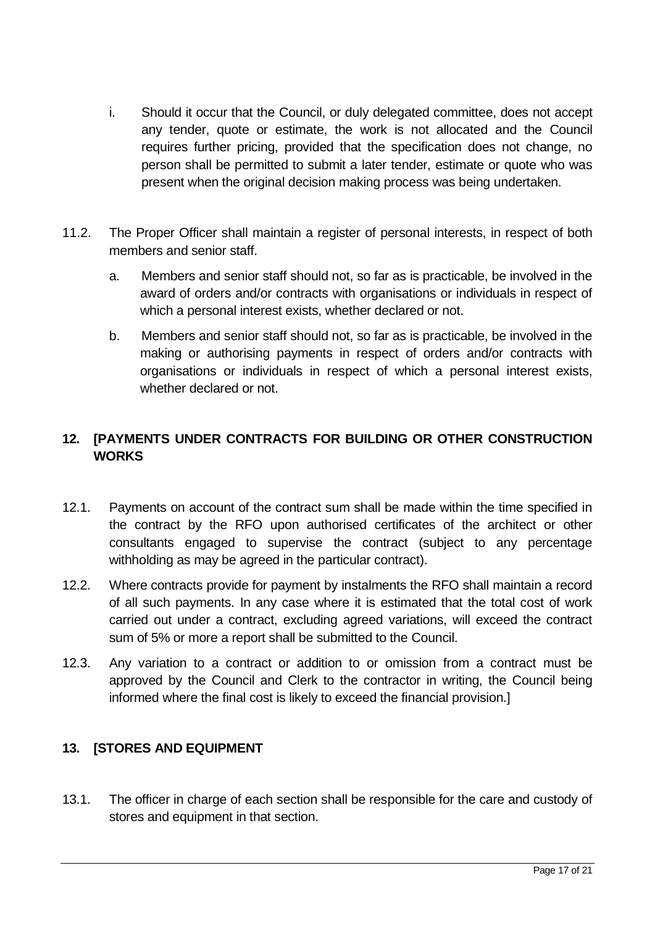- i. Should it occur that the Council, or duly delegated committee, does not accept any tender, quote or estimate, the work is not allocated and the Council requires further pricing, provided that the specification does not change, no person shall be permitted to submit a later tender, estimate or quote who was present when the original decision making process was being undertaken.
- 11.2. The Proper Officer shall maintain a register of personal interests, in respect of both members and senior staff.
	- a. Members and senior staff should not, so far as is practicable, be involved in the award of orders and/or contracts with organisations or individuals in respect of which a personal interest exists, whether declared or not.
	- b. Members and senior staff should not, so far as is practicable, be involved in the making or authorising payments in respect of orders and/or contracts with organisations or individuals in respect of which a personal interest exists, whether declared or not.

# <span id="page-16-0"></span>**12. [PAYMENTS UNDER CONTRACTS FOR BUILDING OR OTHER CONSTRUCTION WORKS**

- 12.1. Payments on account of the contract sum shall be made within the time specified in the contract by the RFO upon authorised certificates of the architect or other consultants engaged to supervise the contract (subject to any percentage withholding as may be agreed in the particular contract).
- 12.2. Where contracts provide for payment by instalments the RFO shall maintain a record of all such payments. In any case where it is estimated that the total cost of work carried out under a contract, excluding agreed variations, will exceed the contract sum of 5% or more a report shall be submitted to the Council.
- 12.3. Any variation to a contract or addition to or omission from a contract must be approved by the Council and Clerk to the contractor in writing, the Council being informed where the final cost is likely to exceed the financial provision.]

# <span id="page-16-1"></span>**13. [STORES AND EQUIPMENT**

13.1. The officer in charge of each section shall be responsible for the care and custody of stores and equipment in that section.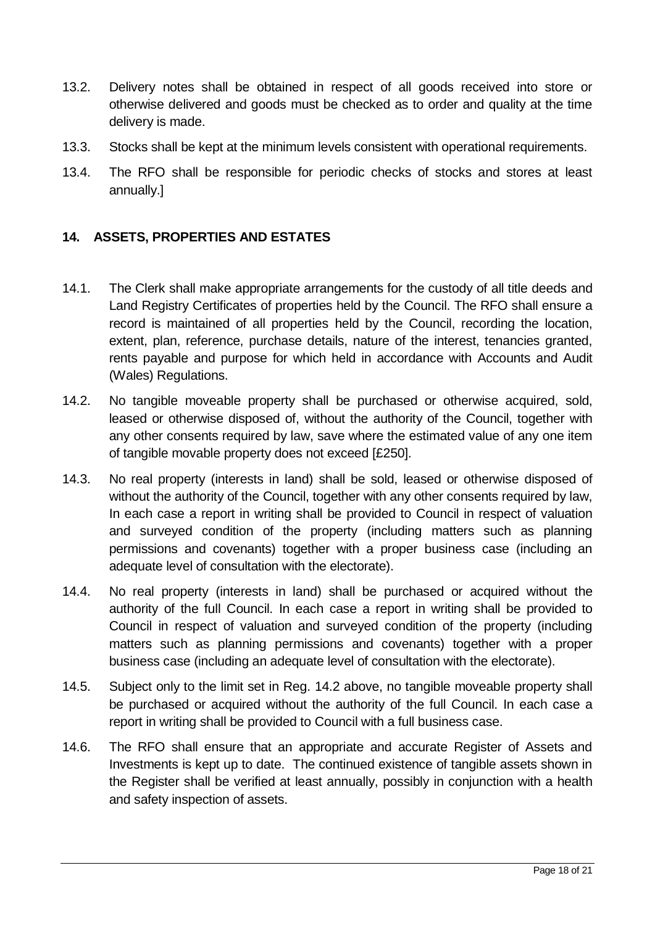- 13.2. Delivery notes shall be obtained in respect of all goods received into store or otherwise delivered and goods must be checked as to order and quality at the time delivery is made.
- 13.3. Stocks shall be kept at the minimum levels consistent with operational requirements.
- 13.4. The RFO shall be responsible for periodic checks of stocks and stores at least annually.]

#### <span id="page-17-0"></span>**14. ASSETS, PROPERTIES AND ESTATES**

- 14.1. The Clerk shall make appropriate arrangements for the custody of all title deeds and Land Registry Certificates of properties held by the Council. The RFO shall ensure a record is maintained of all properties held by the Council, recording the location, extent, plan, reference, purchase details, nature of the interest, tenancies granted, rents payable and purpose for which held in accordance with Accounts and Audit (Wales) Regulations.
- 14.2. No tangible moveable property shall be purchased or otherwise acquired, sold, leased or otherwise disposed of, without the authority of the Council, together with any other consents required by law, save where the estimated value of any one item of tangible movable property does not exceed [£250].
- 14.3. No real property (interests in land) shall be sold, leased or otherwise disposed of without the authority of the Council, together with any other consents required by law, In each case a report in writing shall be provided to Council in respect of valuation and surveyed condition of the property (including matters such as planning permissions and covenants) together with a proper business case (including an adequate level of consultation with the electorate).
- 14.4. No real property (interests in land) shall be purchased or acquired without the authority of the full Council. In each case a report in writing shall be provided to Council in respect of valuation and surveyed condition of the property (including matters such as planning permissions and covenants) together with a proper business case (including an adequate level of consultation with the electorate).
- 14.5. Subject only to the limit set in Reg. 14.2 above, no tangible moveable property shall be purchased or acquired without the authority of the full Council. In each case a report in writing shall be provided to Council with a full business case.
- 14.6. The RFO shall ensure that an appropriate and accurate Register of Assets and Investments is kept up to date. The continued existence of tangible assets shown in the Register shall be verified at least annually, possibly in conjunction with a health and safety inspection of assets.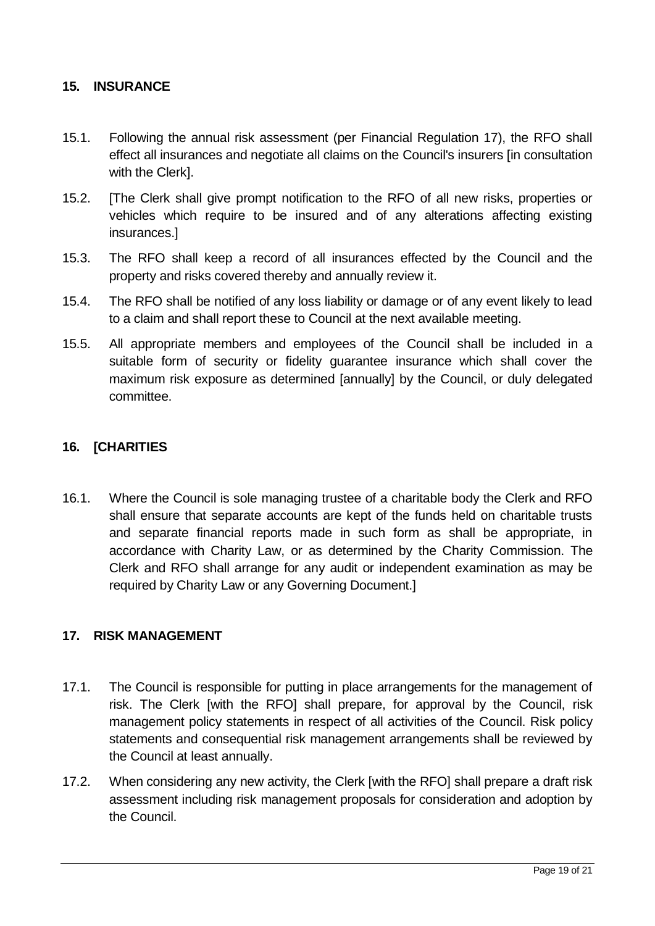#### <span id="page-18-0"></span>**15. INSURANCE**

- 15.1. Following the annual risk assessment (per Financial Regulation 17), the RFO shall effect all insurances and negotiate all claims on the Council's insurers [in consultation with the Clerk].
- 15.2. [The Clerk shall give prompt notification to the RFO of all new risks, properties or vehicles which require to be insured and of any alterations affecting existing insurances.]
- 15.3. The RFO shall keep a record of all insurances effected by the Council and the property and risks covered thereby and annually review it.
- 15.4. The RFO shall be notified of any loss liability or damage or of any event likely to lead to a claim and shall report these to Council at the next available meeting.
- 15.5. All appropriate members and employees of the Council shall be included in a suitable form of security or fidelity guarantee insurance which shall cover the maximum risk exposure as determined [annually] by the Council, or duly delegated committee.

#### <span id="page-18-1"></span>**16. [CHARITIES**

16.1. Where the Council is sole managing trustee of a charitable body the Clerk and RFO shall ensure that separate accounts are kept of the funds held on charitable trusts and separate financial reports made in such form as shall be appropriate, in accordance with Charity Law, or as determined by the Charity Commission. The Clerk and RFO shall arrange for any audit or independent examination as may be required by Charity Law or any Governing Document.]

#### <span id="page-18-2"></span>**17. RISK MANAGEMENT**

- 17.1. The Council is responsible for putting in place arrangements for the management of risk. The Clerk [with the RFO] shall prepare, for approval by the Council, risk management policy statements in respect of all activities of the Council. Risk policy statements and consequential risk management arrangements shall be reviewed by the Council at least annually.
- 17.2. When considering any new activity, the Clerk [with the RFO] shall prepare a draft risk assessment including risk management proposals for consideration and adoption by the Council.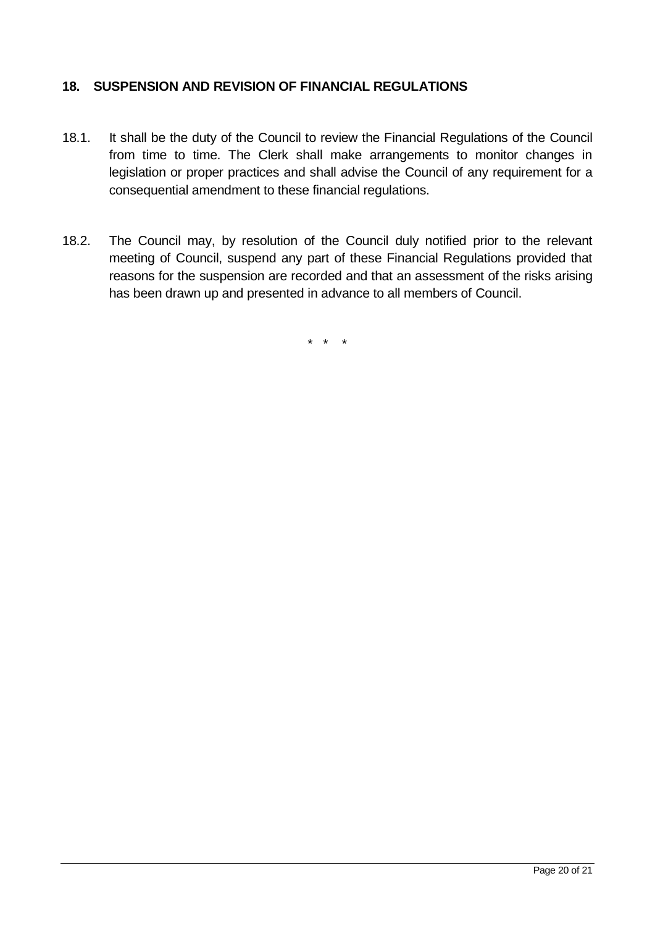#### <span id="page-19-0"></span>**18. SUSPENSION AND REVISION OF FINANCIAL REGULATIONS**

- 18.1. It shall be the duty of the Council to review the Financial Regulations of the Council from time to time. The Clerk shall make arrangements to monitor changes in legislation or proper practices and shall advise the Council of any requirement for a consequential amendment to these financial regulations.
- 18.2. The Council may, by resolution of the Council duly notified prior to the relevant meeting of Council, suspend any part of these Financial Regulations provided that reasons for the suspension are recorded and that an assessment of the risks arising has been drawn up and presented in advance to all members of Council.

\* \* \*